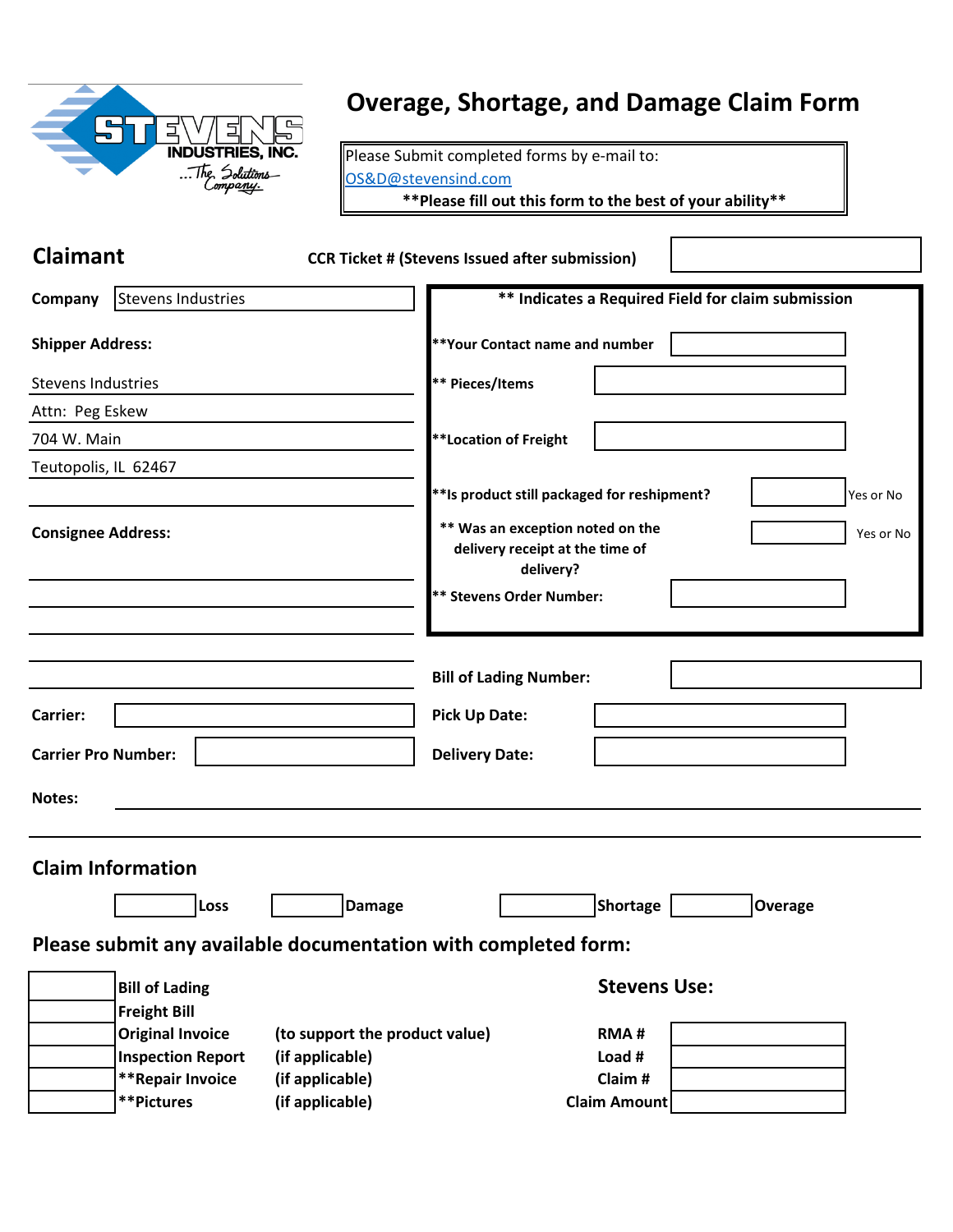| <b>INDUSTRIES, INC.</b><br>The Solutions<br>Company |
|-----------------------------------------------------|
|                                                     |

### **Overage, Shortage, and Damage Claim Form**

Please Submit completed forms by e-mail to: [OS&D@stevensind.com](mailto:OS&D@stevensind.com)

**\*\*Please fill out this form to the best of your ability\*\***

| <b>Claimant</b><br><b>CCR Ticket # (Stevens Issued after submission)</b> |                                                                                               |
|--------------------------------------------------------------------------|-----------------------------------------------------------------------------------------------|
| Stevens Industries<br>Company                                            | ** Indicates a Required Field for claim submission                                            |
| <b>Shipper Address:</b>                                                  | **Your Contact name and number                                                                |
| <b>Stevens Industries</b>                                                | ** Pieces/Items                                                                               |
| Attn: Peg Eskew                                                          |                                                                                               |
| 704 W. Main                                                              | <b>**Location of Freight</b>                                                                  |
| Teutopolis, IL 62467                                                     |                                                                                               |
|                                                                          | ** Is product still packaged for reshipment?<br>Yes or No                                     |
| <b>Consignee Address:</b>                                                | ** Was an exception noted on the<br>Yes or No<br>delivery receipt at the time of<br>delivery? |
|                                                                          | <b>** Stevens Order Number:</b>                                                               |
|                                                                          |                                                                                               |
|                                                                          |                                                                                               |
|                                                                          | <b>Bill of Lading Number:</b>                                                                 |
| <b>Carrier:</b>                                                          | <b>Pick Up Date:</b>                                                                          |
| <b>Carrier Pro Number:</b>                                               | <b>Delivery Date:</b>                                                                         |
| Notes:                                                                   |                                                                                               |
|                                                                          |                                                                                               |
| <b>Claim Information</b>                                                 |                                                                                               |
| Loss<br><b>Damage</b>                                                    | <b>Shortage</b><br><b>Overage</b>                                                             |
| Please submit any available documentation with completed form:           |                                                                                               |
| <b>Bill of Lading</b>                                                    | <b>Stevens Use:</b>                                                                           |
| <b>Freight Bill</b>                                                      |                                                                                               |
| <b>Original Invoice</b><br>(to support the product value)                | <b>RMA#</b>                                                                                   |
| <b>Inspection Report</b><br>(if applicable)                              | Load #                                                                                        |
| **Repair Invoice<br>(if applicable)                                      | Claim#                                                                                        |
| **Pictures<br>(if applicable)                                            | Claim Amount                                                                                  |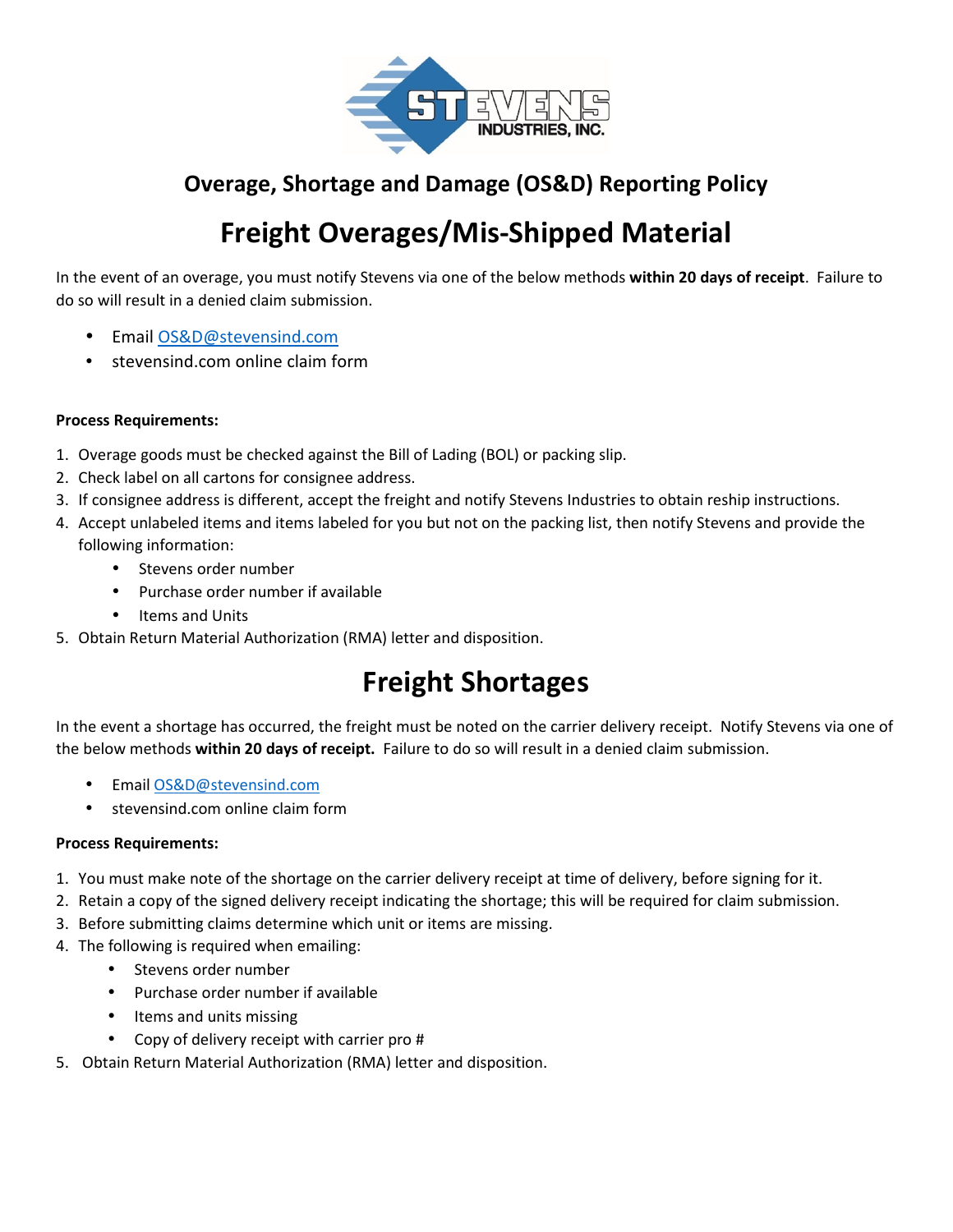

### **Overage, Shortage and Damage (OS&D) Reporting Policy**

# **Freight Overages/Mis-Shipped Material**

In the event of an overage, you must notify Stevens via one of the below methods **within 20 days of receipt**. Failure to do so will result in a denied claim submission.

- Email OS&D@stevensind.com
- stevensind.com online claim form

#### **Process Requirements:**

- 1. Overage goods must be checked against the Bill of Lading (BOL) or packing slip.
- 2. Check label on all cartons for consignee address.
- 3. If consignee address is different, accept the freight and notify Stevens Industries to obtain reship instructions.
- 4. Accept unlabeled items and items labeled for you but not on the packing list, then notify Stevens and provide the following information:
	- Stevens order number
	- Purchase order number if available
	- Items and Units
- 5. Obtain Return Material Authorization (RMA) letter and disposition.

# **Freight Shortages**

In the event a shortage has occurred, the freight must be noted on the carrier delivery receipt. Notify Stevens via one of the below methods **within 20 days of receipt.** Failure to do so will result in a denied claim submission.

- Email OS&D@stevensind.com
- stevensind.com online claim form

#### **Process Requirements:**

- 1. You must make note of the shortage on the carrier delivery receipt at time of delivery, before signing for it.
- 2. Retain a copy of the signed delivery receipt indicating the shortage; this will be required for claim submission.
- 3. Before submitting claims determine which unit or items are missing.
- 4. The following is required when emailing:
	- Stevens order number
	- Purchase order number if available
	- Items and units missing
	- Copy of delivery receipt with carrier pro #
- 5. Obtain Return Material Authorization (RMA) letter and disposition.